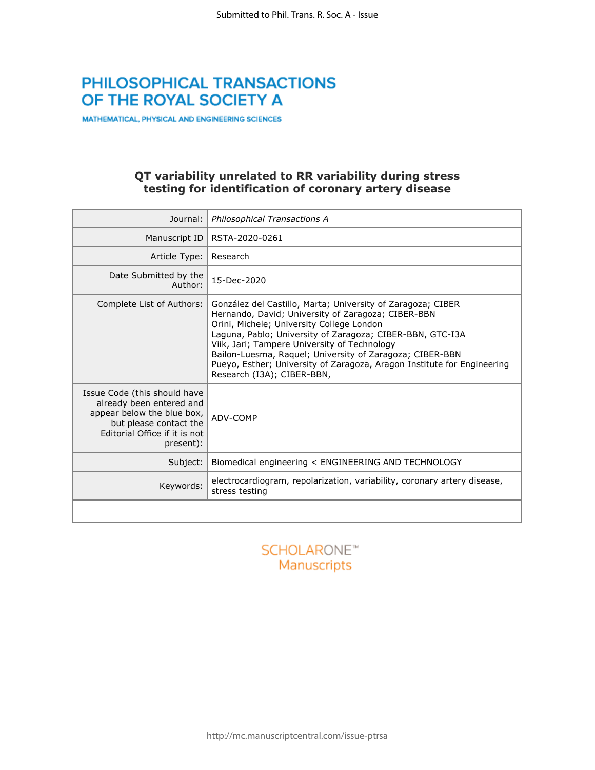# PHILOSOPHICAL TRANSACTIONS OF THE ROYAL SOCIETY A

MATHEMATICAL, PHYSICAL AND ENGINEERING SCIENCES

### **QT variability unrelated to RR variability during stress testing for identification of coronary artery disease**

| Journal:                                                                                                                                                       | Philosophical Transactions A                                                                                                                                                                                                                                                                                                                                                                                                                     |
|----------------------------------------------------------------------------------------------------------------------------------------------------------------|--------------------------------------------------------------------------------------------------------------------------------------------------------------------------------------------------------------------------------------------------------------------------------------------------------------------------------------------------------------------------------------------------------------------------------------------------|
| Manuscript ID                                                                                                                                                  | RSTA-2020-0261                                                                                                                                                                                                                                                                                                                                                                                                                                   |
| Article Type:                                                                                                                                                  | Research                                                                                                                                                                                                                                                                                                                                                                                                                                         |
| Date Submitted by the<br>Author:                                                                                                                               | 15-Dec-2020                                                                                                                                                                                                                                                                                                                                                                                                                                      |
| Complete List of Authors:                                                                                                                                      | González del Castillo, Marta; University of Zaragoza; CIBER<br>Hernando, David; University of Zaragoza; CIBER-BBN<br>Orini, Michele; University College London<br>Laguna, Pablo; University of Zaragoza; CIBER-BBN, GTC-I3A<br>Viik, Jari; Tampere University of Technology<br>Bailon-Luesma, Raquel; University of Zaragoza; CIBER-BBN<br>Pueyo, Esther; University of Zaragoza, Aragon Institute for Engineering<br>Research (I3A); CIBER-BBN, |
| Issue Code (this should have<br>already been entered and<br>appear below the blue box,<br>but please contact the<br>Editorial Office if it is not<br>present): | ADV-COMP                                                                                                                                                                                                                                                                                                                                                                                                                                         |
| Subject:                                                                                                                                                       | Biomedical engineering < ENGINEERING AND TECHNOLOGY                                                                                                                                                                                                                                                                                                                                                                                              |
| Keywords:                                                                                                                                                      | electrocardiogram, repolarization, variability, coronary artery disease,<br>stress testing                                                                                                                                                                                                                                                                                                                                                       |
|                                                                                                                                                                |                                                                                                                                                                                                                                                                                                                                                                                                                                                  |

# **SCHOLARONE™** Manuscripts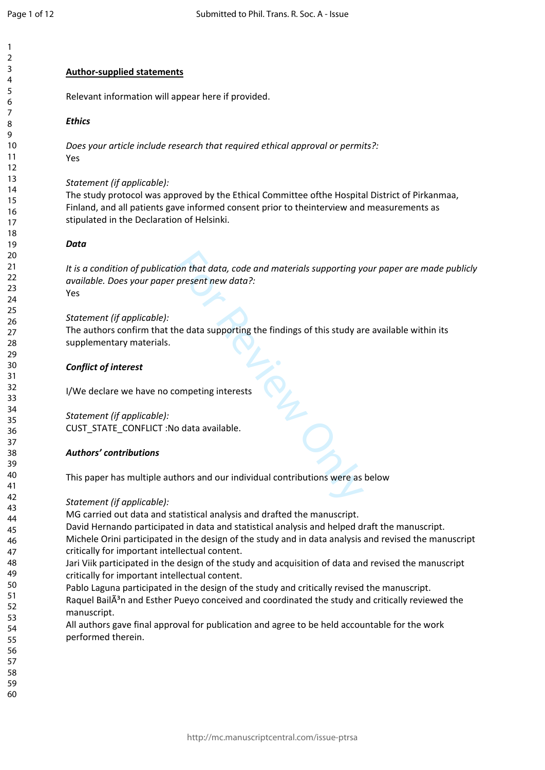$\mathbf{1}$  $\overline{2}$  $\overline{3}$  $\overline{4}$ 5 6  $\overline{7}$ 8 q

### **Author-supplied statements**

Relevant information will appear here if provided.

### *Ethics*

*Does your article include research that required ethical approval or permits?:* Yes

### *Statement (if applicable):*

The study protocol was approved by the Ethical Committee ofthe Hospital District of Pirkanmaa, Finland, and all patients gave informed consent prior to theinterview and measurements as stipulated in the Declaration of Helsinki.

### *Data*

For that data, code and materials supporting yiersent new data?:<br>
The data supporting the findings of this study are data supporting the findings of this study are<br>
only the findings of this study are<br>
only the findings of *It is a condition of publication that data, code and materials supporting your paper are made publicly available. Does your paper present new data?:* Yes

*Statement (if applicable):*

The authors confirm that the data supporting the findings of this study are available within its supplementary materials.

### *Conflict of interest*

I/We declare we have no competing interests

*Statement (if applicable):* CUST\_STATE\_CONFLICT :No data available.

### *Authors' contributions*

This paper has multiple authors and our individual contributions were as below

### *Statement (if applicable):*

MG carried out data and statistical analysis and drafted the manuscript.

David Hernando participated in data and statistical analysis and helped draft the manuscript. Michele Orini participated in the design of the study and in data analysis and revised the manuscript critically for important intellectual content.

Jari Viik participated in the design of the study and acquisition of data and revised the manuscript critically for important intellectual content.

Pablo Laguna participated in the design of the study and critically revised the manuscript. Raquel Bail $\tilde{A}^3$ n and Esther Pueyo conceived and coordinated the study and critically reviewed the manuscript.

All authors gave final approval for publication and agree to be held accountable for the work performed therein.

59 60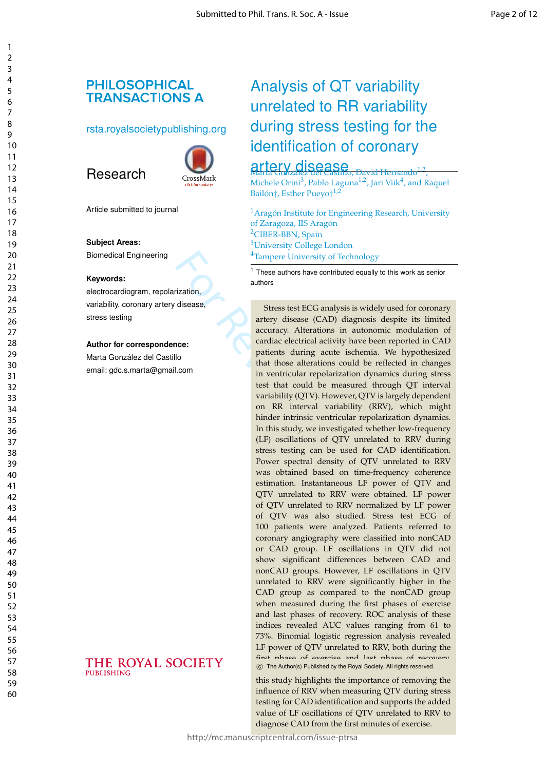# **PHILOSOPHICAL TRANSACTIONS A**

### rsta.royalsocietypublishing.org



Article submitted to journal

### **Subject Areas:**

Research

Biomedical Engineering

#### **Keywords:**

electrocardiogram, repolarization, variability, coronary artery disease, stress testing

### **Author for correspondence:**

Marta González del Castillo email: gdc.s.marta@gmail.com

THE ROYAL SOCIETY

**PUBLISHING** 

# Analysis of QT variability unrelated to RR variability during stress testing for the identification of coronary

# artery disease

, Michele Orini $^3$ , Pablo Laguna $^{1,2}$ , Jari Viik $^4$ , and Raquel Bailón†, Esther Pueyo†<sup>1,2</sup>

<sup>1</sup> Aragón Institute for Engineering Research, University of Zaragoza, IIS Aragón <sup>2</sup>CIBER-BBN, Spain <sup>3</sup>University College London <sup>4</sup>Tampere University of Technology

† These authors have contributed equally to this work as senior authors

<sup>4</sup>Tampere University of Techno<br>  $\frac{1}{t}$  These authors have contributed eq<br>
authors<br>
authors<br>
authors<br> **Stress test ECG analysis is v**<br>
artery disease (CAD) diagno<br>
accuracy. Alterations in aut<br>
cardiac electrical activ Stress test ECG analysis is widely used for coronary artery disease (CAD) diagnosis despite its limited accuracy. Alterations in autonomic modulation of cardiac electrical activity have been reported in CAD patients during acute ischemia. We hypothesized that those alterations could be reflected in changes in ventricular repolarization dynamics during stress test that could be measured through QT interval variability (QTV). However, QTV is largely dependent on RR interval variability (RRV), which might hinder intrinsic ventricular repolarization dynamics. In this study, we investigated whether low-frequency (LF) oscillations of QTV unrelated to RRV during stress testing can be used for CAD identification. Power spectral density of QTV unrelated to RRV was obtained based on time-frequency coherence estimation. Instantaneous LF power of QTV and QTV unrelated to RRV were obtained. LF power of QTV unrelated to RRV normalized by LF power of QTV was also studied. Stress test ECG of 100 patients were analyzed. Patients referred to coronary angiography were classified into nonCAD or CAD group. LF oscillations in QTV did not show significant differences between CAD and nonCAD groups. However, LF oscillations in QTV unrelated to RRV were significantly higher in the CAD group as compared to the nonCAD group when measured during the first phases of exercise and last phases of recovery. ROC analysis of these indices revealed AUC values ranging from 61 to 73%. Binomial logistic regression analysis revealed LF power of QTV unrelated to RRV, both during the first phase of exercise and last phase of re- $\circled{c}$  The Author(s) Published by the Royal Society. All rights reserved.

this study highlights the importance of removing the influence of RRV when measuring QTV during stress testing for CAD identification and supports the added value of LF oscillations of QTV unrelated to RRV to **EXAD FROM FROM FROM FROM SOCIETS ANDER FROM THE SET CAD identified to exercise** this study highlights the importance of removing influence of RRV when measuring QTV during s testing for CAD identification and supports the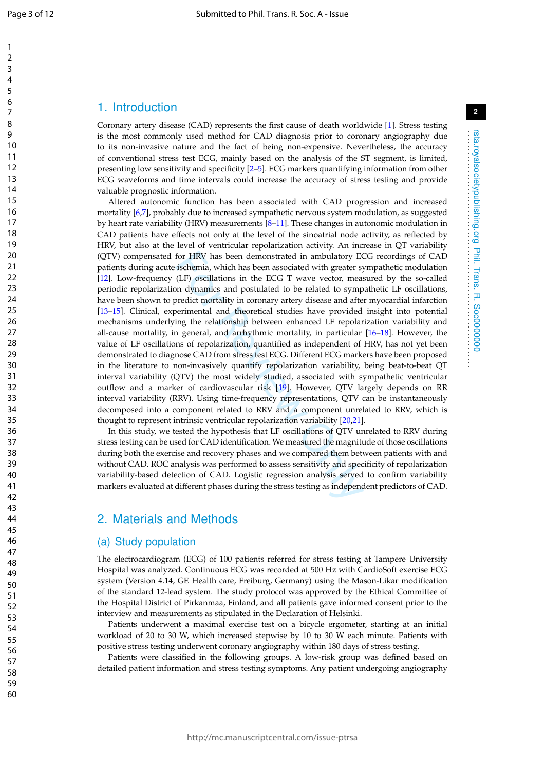$\mathbf{1}$  $\overline{2}$  $\overline{3}$  $\overline{4}$ 5 6  $\overline{7}$ 8

 $\mathsf q$ 

### 1. Introduction

Coronary artery disease (CAD) represents the first cause of death worldwide [ 1]. Stress testing is the most commonly used method for CAD diagnosis prior to coronary angiography due to its non-invasive nature and the fact of being non-expensive. Nevertheless, the accuracy of conventional stress test ECG, mainly based on the analysis of the ST segment, is limited, presenting low sensitivity and specificity [ 2 – 5]. ECG markers quantifying information from other ECG waveforms and time intervals could increase the accuracy of stress testing and provide valuable prognostic information.

for HRV has been demonstrated in ambulatory EG ischemia, which has been associated with greater sy (LF) oscillations in the ECG T wave vector, measured (LF) oscillations in the ECG T wave vector, measured (LF) oscillations Altered autonomic function has been associated with CAD progression and increased mortality [ 6 , 7], probably due to increased sympathetic nervous system modulation, as suggested by heart rate variability (HRV) measurements [8–11]. These changes in autonomic modulation in CAD patients have effects not only at the level of the sinoatrial node activity, as reflected by HRV, but also at the level of ventricular repolarization activity. An increase in QT variability (QTV) compensated for HRV has been demonstrated in ambulatory ECG recordings of CAD patients during acute ischemia, which has been associated with greater sympathetic modulation [12]. Low-frequency (LF) oscillations in the ECG T wave vector, measured by the so-called periodic repolarization dynamics and postulated to be related to sympathetic LF oscillations, have been shown to predict mortality in coronary artery disease and after myocardial infarction [13–15]. Clinical, experimental and theoretical studies have provided insight into potential mechanisms underlying the relationship between enhanced LF repolarization variability and all-cause mortality, in general, and arrhythmic mortality, in particular [16 –18]. However, the value of LF oscillations of repolarization, quantified as independent of HRV, has not yet been demonstrated to diagnose CAD from stress test ECG. Different ECG markers have been proposed in the literature to non-invasively quantify repolarization variability, being beat-to-beat QT interval variability (QTV) the most widely studied, associated with sympathetic ventricular outflow and a marker of cardiovascular risk [19]. However, QTV largely depends on RR interval variability (RRV). Using time-frequency representations, QTV can be instantaneously decomposed into a component related to RRV and a component unrelated to RRV, which is thought to represent intrinsic ventricular repolarization variability [20 ,21].

In this study, we tested the hypothesis that LF oscillations of QTV unrelated to RRV during stress testing can be used for CAD identification. We measured the magnitude of those oscillations during both the exercise and recovery phases and we compared them between patients with and without CAD. ROC analysis was performed to assess sensitivity and specificity of repolarization variability-based detection of CAD. Logistic regression analysis served to confirm variability markers evaluated at different phases during the stress testing as independent predictors of CAD.

### 2. Materials and Methods

### (a) Study population

The electrocardiogram (ECG) of 100 patients referred for stress testing at Tampere University Hospital was analyzed. Continuous ECG was recorded at 500 Hz with CardioSoft exercise ECG system (Version 4.14, GE Health care, Freiburg, Germany) using the Mason-Likar modification of the standard 12-lead system. The study protocol was approved by the Ethical Committee of the Hospital District of Pirkanmaa, Finland, and all patients gave informed consent prior to the interview and measurements as stipulated in the Declaration of Helsinki.

Patients underwent a maximal exercise test on a bicycle ergometer, starting at an initial workload of 20 to 30 W, which increased stepwise by 10 to 30 W each minute. Patients with positive stress testing underwent coronary angiography within 180 days of stress testing.

Patients were classified in the following groups. A low-risk group was defined based on detailed patient information and stress testing symptoms. Any patient undergoing angiography . . . . . . . . . . . . . . . . . . . . . . . . . . . . . . . . . . . . . . . . . . . . . . . . . . . . . . . . . . . . . . . . . .

**2**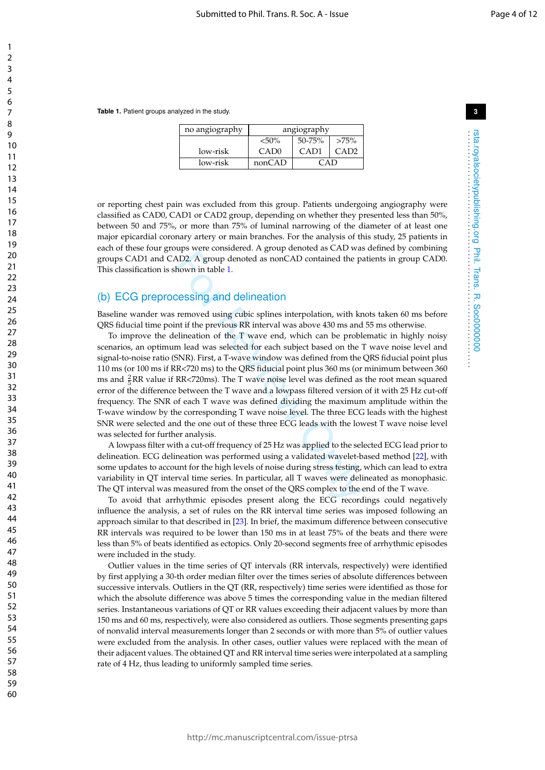**Table 1.** Patient groups analyzed in the study.

| no angiography | angiography      |            |         |  |
|----------------|------------------|------------|---------|--|
|                | ${<}50\%$        | $50 - 75%$ | $>75\%$ |  |
| low-risk       | CAD <sub>0</sub> | CAD1       |         |  |
| low-risk       | nonCAD           | ≃∆n        |         |  |

or reporting chest pain was excluded from this group. Patients undergoing angiography were classified as CAD0, CAD1 or CAD2 group, depending on whether they presented less than 50%, between 50 and 75%, or more than 75% of luminal narrowing of the diameter of at least one major epicardial coronary artery or main branches. For the analysis of this study, 25 patients in each of these four groups were considered. A group denoted as CAD was defined by combining groups CAD1 and CAD2. A group denoted as nonCAD contained the patients in group CAD0. This classification is shown in table 1 .

## (b) ECG preprocessing and delineation

Baseline wander was removed using cubic splines interpolation, with knots taken 60 ms before QRS fiducial time point if the previous RR interval was above 430 ms and 55 ms otherwise.

AD2. A group denoted as nonCAD contained the pa<br>AD2. A group denoted as nonCAD contained the pa<br>hown in table 1.<br>Cessing and delineation<br>memoved using cubic splines interpolation, with kn<br>nt if the previous RR interval wa To improve the delineation of the T wave end, which can be problematic in highly noisy scenarios, an optimum lead was selected for each subject based on the T wave noise level and signal-to-noise ratio (SNR). First, a T-wave window was defined from the QRS fiducial point plus 110 ms (or 100 ms if RR<720 ms) to the QRS fiducial point plus 360 ms (or minimum between 360 ms and  $\frac{2}{5}$ RR value if RR<720ms). The T wave noise level was defined as the root mean squared error of the difference between the T wave and a lowpass filtered version of it with 25 Hz cut-off frequency. The SNR of each T wave was defined dividing the maximum amplitude within the T-wave window by the corresponding T wave noise level. The three ECG leads with the highest SNR were selected and the one out of these three ECG leads with the lowest T wave noise level was selected for further analysis.

A lowpass filter with a cut-off frequency of 25 Hz was applied to the selected ECG lead prior to delineation. ECG delineation was performed using a validated wavelet-based method [22], with some updates to account for the high levels of noise during stress testing, which can lead to extra variability in QT interval time series. In particular, all T waves were delineated as monophasic. The QT interval was measured from the onset of the QRS complex to the end of the T wave.

To avoid that arrhythmic episodes present along the ECG recordings could negatively influence the analysis, a set of rules on the RR interval time series was imposed following an approach similar to that described in [23]. In brief, the maximum difference between consecutive RR intervals was required to be lower than 150 ms in at least 75% of the beats and there were less than 5% of beats identified as ectopics. Only 20-second segments free of arrhythmic episodes were included in the study.

Outlier values in the time series of QT intervals (RR intervals, respectively) were identified by first applying a 30-th order median filter over the times series of absolute differences between successive intervals. Outliers in the QT (RR, respectively) time series were identified as those for which the absolute difference was above 5 times the corresponding value in the median filtered series. Instantaneous variations of QT or RR values exceeding their adjacent values by more than 150 ms and 60 ms, respectively, were also considered as outliers. Those segments presenting gaps of nonvalid interval measurements longer than 2 seconds or with more than 5% of outlier values were excluded from the analysis. In other cases, outlier values were replaced with the mean of their adjacent values. The obtained QT and RR interval time series were interpolated at a sampling rate of 4 Hz, thus leading to uniformly sampled time series.

rsta.royalsocietypublishing.org Phil. Trans. R. Soc0000000 . . . . . . . . . . . . . . . . . . . . . . . . . . . . . . . . . . . . . . . . . . . . . . . . . . . . . . . . . . . . . . . . . .

rsta.royalsocietypublishing.org Phil. Trans. R. Soc0000000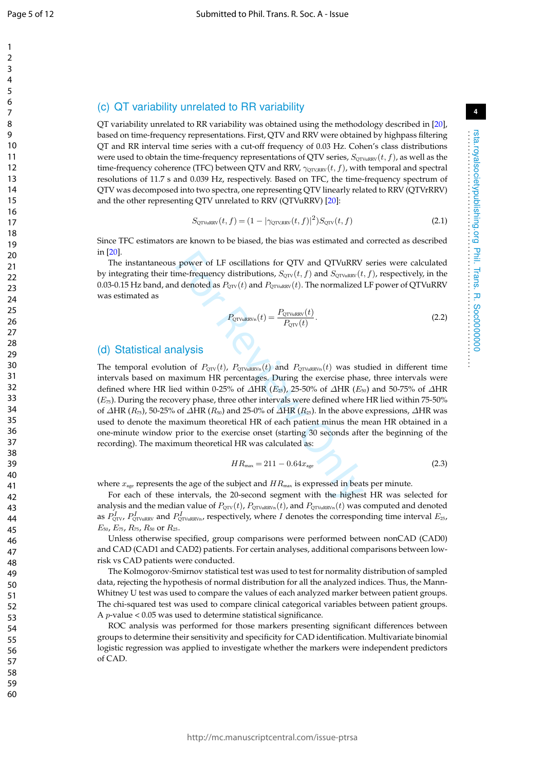$\mathbf{1}$  $\mathcal{P}$  $\overline{3}$  $\overline{4}$ 5 6  $\overline{7}$ 8

q

# **4**

rsta.royalsocietypublishing.org Phil. Trans. R. Soc0000000 . . . . . . . . . . . . . . . . . . . . . . . . . . . . . . . . . . . . . . . . . . . . . . . . . . . . . . . . . . . . . . . . . .

rsta.royalsocietypublishing.org Phil. Trans. R. Soc0000000

### (c) QT variability unrelated to RR variability

QT variability unrelated to RR variability was obtained using the methodology described in [20], based on time-frequency representations. First, QTV and RRV were obtained by highpass filtering QT and RR interval time series with a cut-off frequency of 0.03 Hz. Cohen's class distributions were used to obtain the time-frequency representations of QTV series,  $S_{\rm QTVuRRV}(t,f)$ , as well as the time-frequency coherence (TFC) between QTV and RRV,  $\gamma_{\textrm{QTVRRV}}(t,f)$ , with temporal and spectral resolutions of 11.7 s and 0.039 Hz, respectively. Based on TFC, the time-frequency spectrum of QTV was decomposed into two spectra, one representing QTV linearly related to RRV (QTVrRRV) and the other representing QTV unrelated to RRV (QTVuRRV) [20]:

$$
S_{\text{QTVuRRV}}(t,f) = (1 - |\gamma_{\text{QTV,RRV}}(t,f)|^2) S_{\text{QTV}}(t,f)
$$
\n(2.1)

Since TFC estimators are known to be biased, the bias was estimated and corrected as described in [20].

The instantaneous power of LF oscillations for QTV and QTVuRRV series were calculated by integrating their time-frequency distributions,  $S_{\text{QTV}}(t, f)$  and  $S_{\text{QTV} \text{uRRV}}(t, f)$ , respectively, in the  $0.03$ - $0.15\,\rm Hz$  band, and denoted as  $P_{\rm QTV} (t)$  and  $P_{\rm QTVuRRV} (t)$ . The normalized LF power of QTVuRRV was estimated as

$$
P_{\text{QTVuRRVn}}(t) = \frac{P_{\text{QTVuRRV}}(t)}{P_{\text{QTV}}(t)}.\tag{2.2}
$$

### (d) Statistical analysis

power of LF oscillations for QTV and QTVuRRV<br>me-frequency distributions,  $S_{\text{CTV}}(t, f)$  and  $S_{\text{CTVuRRV}}(t)$ <br>d denoted as  $P_{\text{CTV}}(t)$  and  $P_{\text{CTVuRRV}}(t)$ . The normalized<br> $P_{\text{CTV}}(t)$  and  $P_{\text{CTVuRRV}}(t)$ .<br> $P_{\text{CTVuRRV$ The temporal evolution of  $P_{\text{QTV}}(t)$ ,  $P_{\text{QTV}}(t)$  and  $P_{\text{QTV}}(t)$  was studied in different time intervals based on maximum HR percentages. During the exercise phase, three intervals were defined where HR lied within 0-25% of  $\Delta \text{HR}$  (E<sub>25</sub>), 25-50% of  $\Delta \text{HR}$  (E<sub>50</sub>) and 50-75% of  $\Delta \text{HR}$  $(E_{75})$ . During the recovery phase, three other intervals were defined where HR lied within 75-50% of  $\Delta$ HR ( $R_{75}$ ), 50-25% of  $\Delta$ HR ( $R_{50}$ ) and 25-0% of  $\Delta$ HR ( $R_{25}$ ). In the above expressions,  $\Delta$ HR was used to denote the maximum theoretical HR of each patient minus the mean HR obtained in a one-minute window prior to the exercise onset (starting 30 seconds after the beginning of the recording). The maximum theoretical HR was calculated as:

$$
HR_{\text{max}} = 211 - 0.64x_{\text{age}} \tag{2.3}
$$

where  $x_{\rm age}$  represents the age of the subject and  $HR_{\rm max}$  is expressed in beats per minute.

For each of these intervals, the 20-second segment with the highest HR was selected for analysis and the median value of  $P_{\rm QTV}(t)$ ,  $P_{\rm QTVuRRVn}(t)$ , and  $P_{\rm QTVuRRVn}(t)$  was computed and denoted as  $P^I_{\text{QTV}}$ ,  $P^I_{\text{QTVuRRV}}$  and  $P^I_{\text{QTVuRRV}n}$ , respectively, where I denotes the corresponding time interval  $E_{\text{25}}$ ,  $E_{50}$ ,  $E_{75}$ ,  $R_{75}$ ,  $R_{50}$  or  $R_{25}$ .

Unless otherwise specified, group comparisons were performed between nonCAD (CAD0) and CAD (CAD1 and CAD2) patients. For certain analyses, additional comparisons between lowrisk vs CAD patients were conducted.

The Kolmogorov-Smirnov statistical test was used to test for normality distribution of sampled data, rejecting the hypothesis of normal distribution for all the analyzed indices. Thus, the Mann-Whitney U test was used to compare the values of each analyzed marker between patient groups. The chi-squared test was used to compare clinical categorical variables between patient groups. A  $p$ -value < 0.05 was used to determine statistical significance.

ROC analysis was performed for those markers presenting significant differences between groups to determine their sensitivity and specificity for CAD identification. Multivariate binomial logistic regression was applied to investigate whether the markers were independent predictors of CAD.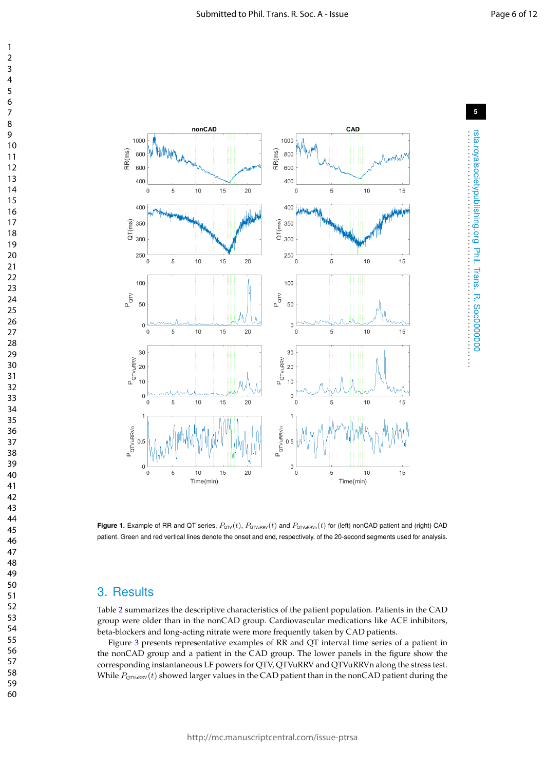rsta.royalsocietypublishing.org Phil. Trans. R. Soc0000000 . . . . . . . . . . . . . . . . . . . . . . . . . . . . . . . . . . . . . . . . . . . . . . . . . . . . . . . . . . . . . . . . . .

rsta.royalsocietypublishing.org Phil. Trans. R. Soc000000000



 $\mathbf{1}$ 



**Figure 1.** Example of RR and QT series,  $P_{\text{OTV}}(t)$ ,  $P_{\text{OTVURRV}}(t)$  and  $P_{\text{OTVURRVn}}(t)$  for (left) nonCAD patient and (right) CAD patient. Green and red vertical lines denote the onset and end, respectively, of the 20-second segments used for analysis.

### 3. Results

Table 2 summarizes the descriptive characteristics of the patient population. Patients in the CAD group were older than in the nonCAD group. Cardiovascular medications like ACE inhibitors, beta-blockers and long-acting nitrate were more frequently taken by CAD patients.

Figure 3 presents representative examples of RR and QT interval time series of a patient in the nonCAD group and a patient in the CAD group. The lower panels in the figure show the corresponding instantaneous LF powers for QTV, QTVuRRV and QTVuRRVn along the stress test. While  $P_{\text{QTVuRRV}}(t)$  showed larger values in the CAD patient than in the nonCAD patient during the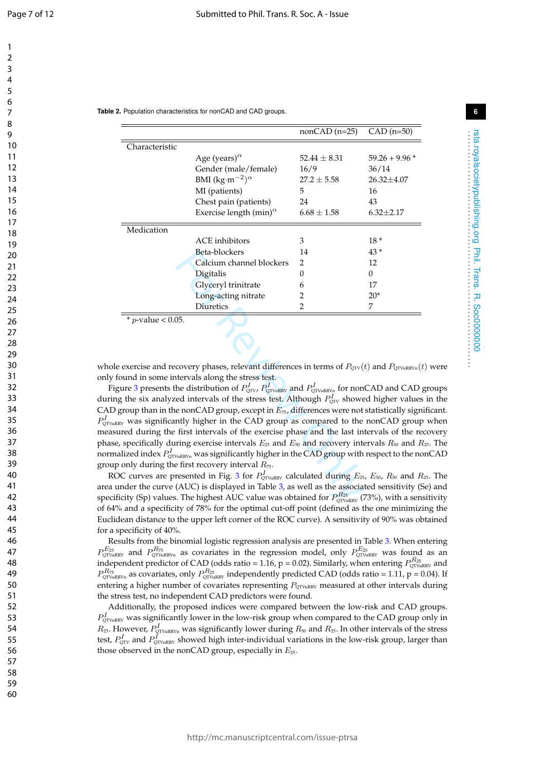rsta.royalsocietypublishing.org Phil. Trans. R. Soc0000000 . . . . . . . . . . . . . . . . . . . . . . . . . . . . . . . . . . . . . . . . . . . . . . . . . . . . . . . . . . . . . . . . . .

**Table 2.** Population characteristics for nonCAD and CAD groups.

|                           |                                                          | $nonCAD$ (n=25)  | $CAD$ (n=50)    |
|---------------------------|----------------------------------------------------------|------------------|-----------------|
| Characteristic            |                                                          |                  |                 |
|                           | Age (years) $^{\alpha}$                                  | $52.44 \pm 8.31$ | $59.26 + 9.96*$ |
|                           | Gender (male/female)                                     | 16/9             | 36/14           |
|                           | BMI (kg·m <sup>-2</sup> ) <sup><math>\alpha</math></sup> | $27.2 \pm 5.58$  | $26.32 + 4.07$  |
|                           | MI (patients)                                            | 5                | 16              |
|                           | Chest pain (patients)                                    | 24               | 43              |
|                           | Exercise length $(min)^{\alpha}$                         | $6.68 \pm 1.58$  | $6.32 \pm 2.17$ |
| Medication                |                                                          |                  |                 |
|                           | ACE inhibitors                                           | 3                | $18*$           |
|                           | Beta-blockers                                            | 14               | $43*$           |
|                           | Calcium channel blockers                                 | 2                | 12              |
|                           | Digitalis                                                | $\Omega$         | $\Omega$        |
|                           | Glyceryl trinitrate                                      | 6                | 17              |
|                           | Long-acting nitrate                                      | 2                | $20*$           |
|                           | Diuretics                                                | 2                | 7               |
| * <i>p</i> -value < 0.05. |                                                          |                  |                 |

whole exercise and recovery phases, relevant differences in terms of  $P_{\rm QTV}(t)$  and  $P_{\rm QTVuRRVn}(t)$  were only found in some intervals along the stress test.

Beta-blockers<br>
2 Digitalis 0<br>
Calcium channel blockers 2<br>
Digradis 0<br>
Clyceryl trinitrate 6<br>
Iong-acting nitrate 2<br>
Diuretics 2<br>
2<br>
Tiuretics 2<br>
2<br>
Tiuretics 2<br>
2<br>
Tiuretics 2<br>
2<br>
Covery phases, relevant differences in te Figure 3 presents the distribution of  $P^I_{\text{QTV}}$ ,  $P^I_{\text{QTVuRRV}}$  and  $P^I_{\text{QTVuRRVn}}$  for nonCAD and CAD groups during the six analyzed intervals of the stress test. Although  $P^I_{\text{QTV}}$  showed higher values in the CAD group than in the nonCAD group, except in  $E_{75}$ , differences were not statistically significant.  $P_{\text{QTVuRRV}}^{I}$  was significantly higher in the CAD group as compared to the nonCAD group when measured during the first intervals of the exercise phase and the last intervals of the recovery phase, specifically during exercise intervals  $E_{25}$  and  $E_{50}$  and recovery intervals  $R_{50}$  and  $R_{25}$ . The normalized index  $P^I_{\text{QTVuRRVn}}$  was significantly higher in the CAD group with respect to the nonCAD group only during the first recovery interval  $R_{75}$ .

ROC curves are presented in Fig. 3 for  $P^I_{\text{QTVuRRV}}$  calculated during  $E_{25}$ ,  $E_{50}$ ,  $R_{50}$  and  $R_{25}$ . The area under the curve (AUC) is displayed in Table 3, as well as the associated sensitivity (Se) and specificity (Sp) values. The highest AUC value was obtained for  $P^{R_{\rm 25}}_{\rm QTVuRRV}$  (73%), with a sensitivity of 64% and a specificity of 78% for the optimal cut-off point (defined as the one minimizing the Euclidean distance to the upper left corner of the ROC curve). A sensitivity of 90% was obtained for a specificity of 40%.

Results from the binomial logistic regression analysis are presented in Table 3. When entering  $P_{\text{QTVuRRVn}}^{E_{25}}$  and  $P_{\text{QTVuRRVn}}^{R_{75}}$  as covariates in the regression model, only  $P_{\text{QTVuRRV}}^{E_{25}}$  was found as an independent predictor of CAD (odds ratio = 1.16, p = 0.02). Similarly, when entering  $P_{\text{QTVuRRV}}^{R_{25}}$  and  $P_{\text{QTVuRRVn}}^{R_{75}}$  as covariates, only  $P_{\text{QTVuRRV}}^{R_{25}}$  independently predicted CAD (odds ratio = 1.11, p = 0.04). If entering a higher number of covariates representing  $P_{\text{CTVuRRV}}$  measured at other intervals during the stress test, no independent CAD predictors were found.

Additionally, the proposed indices were compared between the low-risk and CAD groups.  $P^I_{\text{QTVuRRV}}$  was significantly lower in the low-risk group when compared to the CAD group only in  $R_{25}$ . However,  $P^I_{\text{QTVuRRVn}}$  was significantly lower during  $R_{50}$  and  $R_{25}$ . In other intervals of the stress test*,*  $P^{I}_{\text{QTV}}$  and  $P^{I}_{\text{QTVuRRV}}$  showed high inter-individual variations in the low-risk group, larger than those observed in the nonCAD group, especially in  $E_{25}$ .

60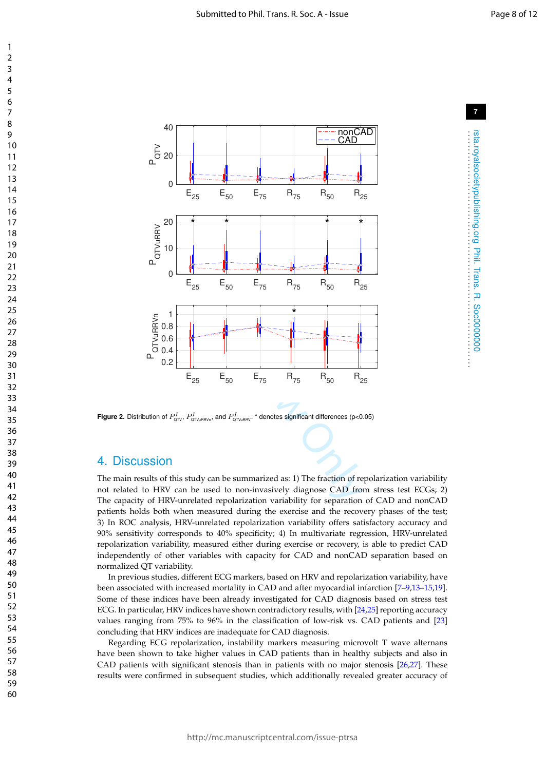

**Figure 2.** Distribution of  $P^I_{\text{QTV}}$ ,  $P^I_{\text{QTVuRRVn}}$ , and  $P^I_{\text{QTVuRRV}}$ .  $^*$  denotes significant differences (p<0.05)

### 4. Discussion

The main results of this study can be summarized as: 1) The fraction of repolarization variability not related to HRV can be used to non-invasively diagnose CAD from stress test ECGs; 2) The capacity of HRV-unrelated repolarization variability for separation of CAD and nonCAD patients holds both when measured during the exercise and the recovery phases of the test; 3) In ROC analysis, HRV-unrelated repolarization variability offers satisfactory accuracy and 90% sensitivity corresponds to 40% specificity; 4) In multivariate regression, HRV-unrelated repolarization variability, measured either during exercise or recovery, is able to predict CAD independently of other variables with capacity for CAD and nonCAD separation based on normalized QT variability.

In previous studies, different ECG markers, based on HRV and repolarization variability, have been associated with increased mortality in CAD and after myocardial infarction [7–9,13–15,19]. Some of these indices have been already investigated for CAD diagnosis based on stress test ECG. In particular, HRV indices have shown contradictory results, with [24 ,25] reporting accuracy values ranging from 75% to 96% in the classification of low-risk vs. CAD patients and [23 ] concluding that HRV indices are inadequate for CAD diagnosis.

Regarding ECG repolarization, instability markers measuring microvolt T wave alternans have been shown to take higher values in CAD patients than in healthy subjects and also in CAD patients with significant stenosis than in patients with no major stenosis [26 ,27]. These results were confirmed in subsequent studies, which additionally revealed greater accuracy of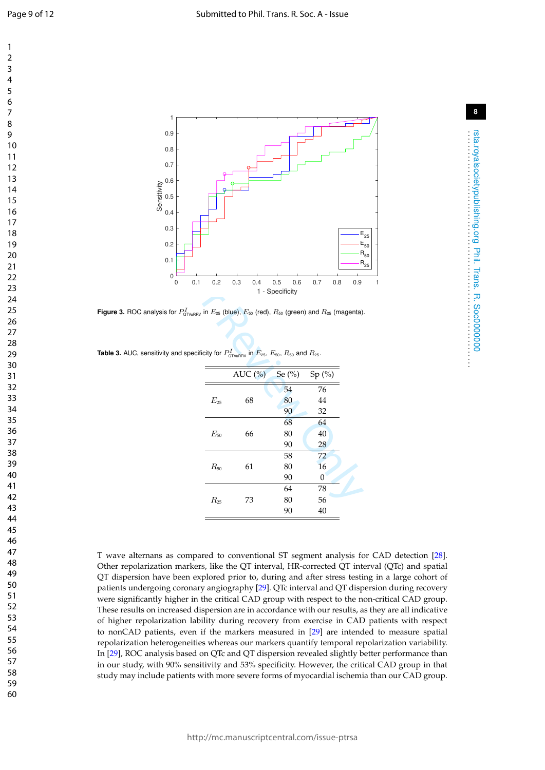rsta.royalsocietypublishing.org Phil. Trans. R. Soc0000000 . . . . . . . . . . . . . . . . . . . . . . . . . . . . . . . . . . . . . . . . . . . . . . . . . . . . . . . . . . . . . . . . . .

rsta.royalsocietypublishing.org Phil. Trans. R. Soc00000000<br>rsta.royalsocietypublishing.org





**Figure 3.** ROC analysis for  $P^I_{\text{QTWuRRV}}$  in  $E_{\text{25}}$  (blue),  $E_{\text{50}}$  (red),  $R_{\text{50}}$  (green) and  $R_{\text{25}}$  (magenta).

| <b>Table 3.</b> AUC, sensitivity and specificity for $P_{\text{OTVUBRV}}^I$ in $E_{25}$ , $E_{50}$ , $R_{50}$ and $R_{25}$ . |  |  |  |  |
|------------------------------------------------------------------------------------------------------------------------------|--|--|--|--|
|------------------------------------------------------------------------------------------------------------------------------|--|--|--|--|

|   |     |          |                                                                                                                                               |                        |     |       |     | R<br>R |
|---|-----|----------|-----------------------------------------------------------------------------------------------------------------------------------------------|------------------------|-----|-------|-----|--------|
| D | 0.1 | 0.2      | 0.3<br>0.4                                                                                                                                    | 0.5<br>1 - Specificity | 0.6 | 0.7   | 0.8 | 0.9    |
|   |     |          | $\sim P^I_{\texttt{QTVuRRV}}$ in $E_{\texttt{25}}$ (blue), $E_{\texttt{50}}$ (red), $R_{\texttt{50}}$ (green) and $R_{\texttt{25}}$ (magenta) |                        |     |       |     |        |
|   |     |          | nd specificity for $P^I_{\text{\tiny{QTWHRV}}}$ in $E_{\text{25}},$ $E_{\text{50}},$ $R_{\text{50}}$ and $R_{\text{25}}.$                     |                        |     |       |     |        |
|   |     |          | AUC $(\%)$ Se $(\%)$                                                                                                                          |                        |     | Sp(%) |     |        |
|   |     |          |                                                                                                                                               |                        | 54  | 76    |     |        |
|   |     | $E_{25}$ | 68                                                                                                                                            |                        | 80  | 44    |     |        |
|   |     |          |                                                                                                                                               |                        | 90  | 32    |     |        |
|   |     |          |                                                                                                                                               |                        | 68  | 64    |     |        |
|   |     | $E_{50}$ | 66                                                                                                                                            |                        | 80  | 40    |     |        |
|   |     |          |                                                                                                                                               |                        | 90  | 28    |     |        |
|   |     |          |                                                                                                                                               |                        | 58  | 72    |     |        |
|   |     | $R_{50}$ | 61                                                                                                                                            |                        | 80  | 16    |     |        |
|   |     |          |                                                                                                                                               |                        | 90  | 0     |     |        |
|   |     |          |                                                                                                                                               |                        | 64  | 78    |     |        |
|   |     | $R_{25}$ | 73                                                                                                                                            |                        | 80  | 56    |     |        |
|   |     |          |                                                                                                                                               |                        | 90  | 40    |     |        |
|   |     |          |                                                                                                                                               |                        |     |       |     |        |

T wave alternans as compared to conventional ST segment analysis for CAD detection [28]. Other repolarization markers, like the QT interval, HR-corrected QT interval (QTc) and spatial QT dispersion have been explored prior to, during and after stress testing in a large cohort of patients undergoing coronary angiography [29]. QTc interval and QT dispersion during recovery were significantly higher in the critical CAD group with respect to the non-critical CAD group. These results on increased dispersion are in accordance with our results, as they are all indicative of higher repolarization lability during recovery from exercise in CAD patients with respect to nonCAD patients, even if the markers measured in [29] are intended to measure spatial repolarization heterogeneities whereas our markers quantify temporal repolarization variability. In [29], ROC analysis based on QTc and QT dispersion revealed slightly better performance than in our study, with 90% sensitivity and 53% specificity. However, the critical CAD group in that study may include patients with more severe forms of myocardial ischemia than our CAD group.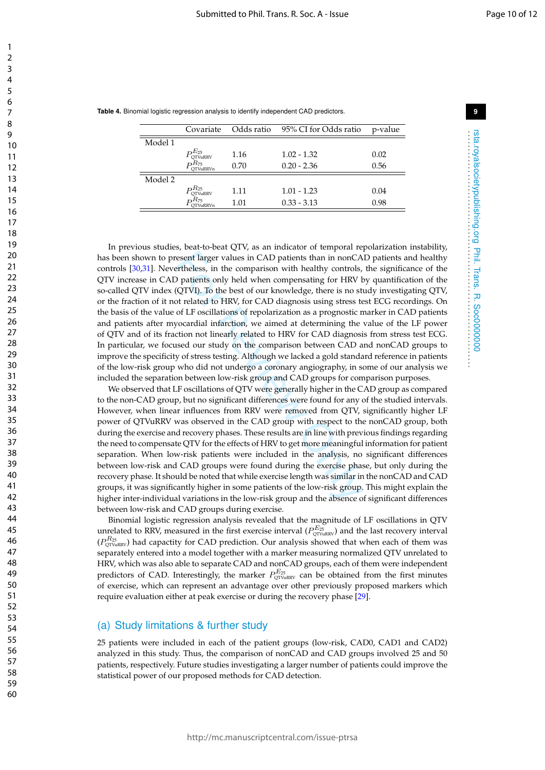rsta.royalsocietypublishing.org Phil. Trans. R. Soc0000000 . . . . . . . . . . . . . . . . . . . . . . . . . . . . . . . . . . . . . . . . . . . . . . . . . . . . . . . . . . . . . . . . . .

rsta.royalsocietypublishing.org Phil. Trans. R. Soc0000000

|  |  |  | Table 4. Binomial logistic regression analysis to identify independent CAD predictors. |  |
|--|--|--|----------------------------------------------------------------------------------------|--|
|  |  |  |                                                                                        |  |

|         | Covariate                               |      | Odds ratio 95% CI for Odds ratio | p-value |
|---------|-----------------------------------------|------|----------------------------------|---------|
| Model 1 |                                         |      |                                  |         |
|         | <b>OTVuRRV</b>                          | 1.16 | $1.02 - 1.32$                    | 0.02    |
|         | $R_{75}$<br><b>OTVuRRVn</b>             | 0.70 | $0.20 - 2.36$                    | 0.56    |
| Model 2 |                                         |      |                                  |         |
|         | $\mathrm{D}^{R_{25}}$<br><b>OTVuRRV</b> | 1.11 | $1.01 - 1.23$                    | 0.04    |
|         | $nR_{75}$<br><b>TV</b> uRRVn            | 1.01 | $0.33 - 3.13$                    | 0.98    |

resent larger values in CAD patients than in nonCA<br>ertheless, in the comparison with healthy controls,<br>D patients only held when compensating for HRV t<br>(QTVI). To the best of our knowledge, there is no st<br>of traked to HRV, In previous studies, beat-to-beat QTV, as an indicator of temporal repolarization instability, has been shown to present larger values in CAD patients than in nonCAD patients and healthy controls [30 ,31]. Nevertheless, in the comparison with healthy controls, the significance of the QTV increase in CAD patients only held when compensating for HRV by quantification of the so-called QTV index (QTVI). To the best of our knowledge, there is no study investigating QTV, or the fraction of it not related to HRV, for CAD diagnosis using stress test ECG recordings. On the basis of the value of LF oscillations of repolarization as a prognostic marker in CAD patients and patients after myocardial infarction, we aimed at determining the value of the LF power of QTV and of its fraction not linearly related to HRV for CAD diagnosis from stress test ECG. In particular, we focused our study on the comparison between CAD and nonCAD groups to improve the specificity of stress testing. Although we lacked a gold standard reference in patients of the low-risk group who did not undergo a coronary angiography, in some of our analysis we included the separation between low-risk group and CAD groups for comparison purposes.

We observed that LF oscillations of QTV were generally higher in the CAD group as compared to the non-CAD group, but no significant differences were found for any of the studied intervals. However, when linear influences from RRV were removed from QTV, significantly higher LF power of QTVuRRV was observed in the CAD group with respect to the nonCAD group, both during the exercise and recovery phases. These results are in line with previous findings regarding the need to compensate QTV for the effects of HRV to get more meaningful information for patient separation. When low-risk patients were included in the analysis, no significant differences between low-risk and CAD groups were found during the exercise phase, but only during the recovery phase. It should be noted that while exercise length was similar in the nonCAD and CAD groups, it was significantly higher in some patients of the low-risk group. This might explain the higher inter-individual variations in the low-risk group and the absence of significant differences between low-risk and CAD groups during exercise.

Binomial logistic regression analysis revealed that the magnitude of LF oscillations in QTV unrelated to RRV, measured in the first exercise interval  $(P_{\text{QTV}uRRV}^{E_{25}})$  and the last recovery interval  $(P^{R_{25}}_{\text{QTVuRRV}})$  had capactity for CAD prediction. Our analysis showed that when each of them was separately entered into a model together with a marker measuring normalized QTV unrelated to HRV, which was also able to separate CAD and nonCAD groups, each of them were independent predictors of CAD. Interestingly, the marker  $P_{\text{QTV}uRRV}^{E_{25}}$  can be obtained from the first minutes of exercise, which can represent an advantage over other previously proposed markers which require evaluation either at peak exercise or during the recovery phase [29].

### (a) Study limitations & further study

25 patients were included in each of the patient groups (low-risk, CAD0, CAD1 and CAD2) analyzed in this study. Thus, the comparison of nonCAD and CAD groups involved 25 and 50 patients, respectively. Future studies investigating a larger number of patients could improve the statistical power of our proposed methods for CAD detection.

 $\mathbf{1}$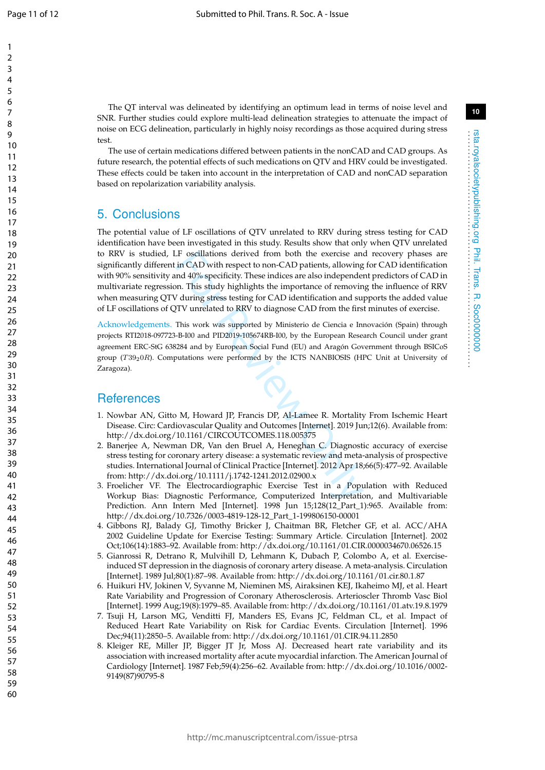$\mathbf{1}$  $\overline{2}$  $\overline{3}$  $\overline{4}$ 5 6  $\overline{7}$ 8

q

rsta.royalsocietypublishing.org Phil. Trans. R. Soc0000000 . . . . . . . . . . . . . . . . . . . . . . . . . . . . . . . . . . . . . . . . . . . . . . . . . . . . . . . . . . . . . . . . . .

Phil. Trans.

**R. Soc00000000** 

rsta.royalsocietypublishing.org

The QT interval was delineated by identifying an optimum lead in terms of noise level and SNR. Further studies could explore multi-lead delineation strategies to attenuate the impact of noise on ECG delineation, particularly in highly noisy recordings as those acquired during stress test.

The use of certain medications differed between patients in the nonCAD and CAD groups. As future research, the potential effects of such medications on QTV and HRV could be investigated. These effects could be taken into account in the interpretation of CAD and nonCAD separation based on repolarization variability analysis.

## 5. Conclusions

LF oscillations derived from both the exercise and<br>in CAD with respect to non-CAD patients, allowing<br>and 40% specificity. These indices are also independee<br>in. This study highlights the importance of removin<br>during stress The potential value of LF oscillations of QTV unrelated to RRV during stress testing for CAD identification have been investigated in this study. Results show that only when QTV unrelated to RRV is studied, LF oscillations derived from both the exercise and recovery phases are significantly different in CAD with respect to non-CAD patients, allowing for CAD identification with 90% sensitivity and 40% specificity. These indices are also independent predictors of CAD in multivariate regression. This study highlights the importance of removing the influence of RRV when measuring QTV during stress testing for CAD identification and supports the added value of LF oscillations of QTV unrelated to RRV to diagnose CAD from the first minutes of exercise.

Acknowledgements. This work was supported by Ministerio de Ciencia e Innovación (Spain) through projects RTI2018-097723-B-I00 and PID2019-105674RB-I00, by the European Research Council under grant agreement ERC-StG 638284 and by European Social Fund (EU) and Aragón Government through BSICoS group  $(T39_20R)$ . Computations were performed by the ICTS NANBIOSIS (HPC Unit at University of Zaragoza).

### **References**

- 1. Nowbar AN, Gitto M, Howard JP, Francis DP, Al-Lamee R. Mortality From Ischemic Heart Disease. Circ: Cardiovascular Quality and Outcomes [Internet]. 2019 Jun;12(6). Available from: http://dx.doi.org/10.1161/CIRCOUTCOMES.118.005375
- 2. Banerjee A, Newman DR, Van den Bruel A, Heneghan C. Diagnostic accuracy of exercise stress testing for coronary artery disease: a systematic review and meta-analysis of prospective studies. International Journal of Clinical Practice [Internet]. 2012 Apr 18;66(5):477–92. Available from: http://dx.doi.org/10.1111/j.1742-1241.2012.02900.x
- 3. Froelicher VF. The Electrocardiographic Exercise Test in a Population with Reduced Workup Bias: Diagnostic Performance, Computerized Interpretation, and Multivariable Prediction. Ann Intern Med [Internet]. 1998 Jun 15;128(12\_Part\_1):965. Available from: http://dx.doi.org/10.7326/0003-4819-128-12\_Part\_1-199806150-00001
- 4. Gibbons RJ, Balady GJ, Timothy Bricker J, Chaitman BR, Fletcher GF, et al. ACC/AHA 2002 Guideline Update for Exercise Testing: Summary Article. Circulation [Internet]. 2002 Oct;106(14):1883–92. Available from: http://dx.doi.org/10.1161/01.CIR.0000034670.06526.15
- 5. Gianrossi R, Detrano R, Mulvihill D, Lehmann K, Dubach P, Colombo A, et al. Exerciseinduced ST depression in the diagnosis of coronary artery disease. A meta-analysis. Circulation [Internet]. 1989 Jul;80(1):87–98. Available from: http://dx.doi.org/10.1161/01.cir.80.1.87
- 6. Huikuri HV, Jokinen V, Syvanne M, Nieminen MS, Airaksinen KEJ, Ikaheimo MJ, et al. Heart Rate Variability and Progression of Coronary Atherosclerosis. Arterioscler Thromb Vasc Biol [Internet]. 1999 Aug;19(8):1979–85. Available from: http://dx.doi.org/10.1161/01.atv.19.8.1979
- 7. Tsuji H, Larson MG, Venditti FJ, Manders ES, Evans JC, Feldman CL, et al. Impact of Reduced Heart Rate Variability on Risk for Cardiac Events. Circulation [Internet]. 1996 Dec;94(11):2850–5. Available from: http://dx.doi.org/10.1161/01.CIR.94.11.2850
- 8. Kleiger RE, Miller JP, Bigger JT Jr, Moss AJ. Decreased heart rate variability and its association with increased mortality after acute myocardial infarction. The American Journal of Cardiology [Internet]. 1987 Feb;59(4):256–62. Available from: http://dx.doi.org/10.1016/0002- 9149(87)90795-8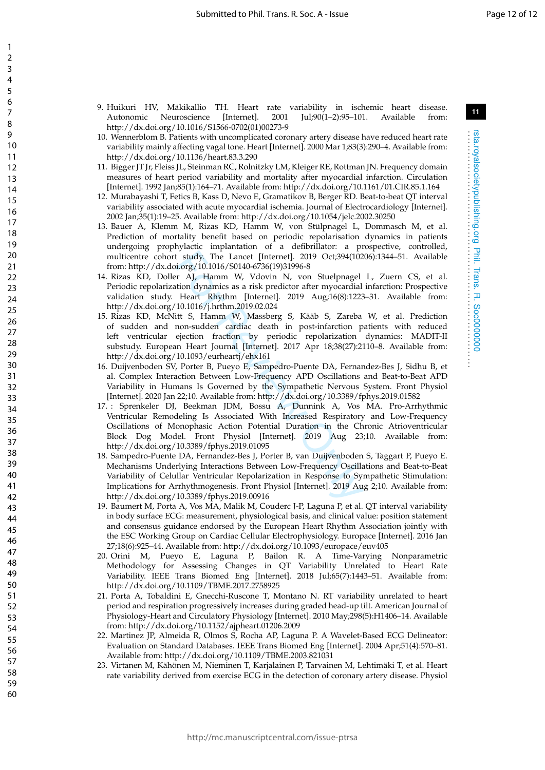- 9. Huikuri HV, Mäkikallio TH. Heart rate variability in ischemic heart disease. Autonomic Neuroscience [Internet]. 2001 Jul;90(1–2):95–101. Available from: http://dx.doi.org/10.1016/S1566-0702(01)00273-9
- 10. Wennerblom B. Patients with uncomplicated coronary artery disease have reduced heart rate variability mainly affecting vagal tone. Heart [Internet]. 2000 Mar 1;83(3):290–4. Available from: http://dx.doi.org/10.1136/heart.83.3.290
- 11. Bigger JT Jr, Fleiss JL, Steinman RC, Rolnitzky LM, Kleiger RE, Rottman JN. Frequency domain measures of heart period variability and mortality after myocardial infarction. Circulation [Internet]. 1992 Jan;85(1):164–71. Available from: http://dx.doi.org/10.1161/01.CIR.85.1.164
- 12. Murabayashi T, Fetics B, Kass D, Nevo E, Gramatikov B, Berger RD. Beat-to-beat QT interval variability associated with acute myocardial ischemia. Journal of Electrocardiology [Internet]. 2002 Jan;35(1):19–25. Available from: http://dx.doi.org/10.1054/jelc.2002.30250
- 13. Bauer A, Klemm M, Rizas KD, Hamm W, von Stülpnagel L, Dommasch M, et al. Prediction of mortality benefit based on periodic repolarisation dynamics in patients undergoing prophylactic implantation of a defibrillator: a prospective, controlled, multicentre cohort study. The Lancet [Internet]. 2019 Oct;394(10206):1344–51. Available from: http://dx.doi.org/10.1016/S0140-6736(19)31996-8
- 14. Rizas KD, Doller AJ, Hamm W, Vdovin N, von Stuelpnagel L, Zuern CS, et al. Periodic repolarization dynamics as a risk predictor after myocardial infarction: Prospective validation study. Heart Rhythm [Internet]. 2019 Aug;16(8):1223–31. Available from: http://dx.doi.org/10.1016/j.hrthm.2019.02.024
- 15. Rizas KD, McNitt S, Hamm W, Massberg S, Kääb S, Zareba W, et al. Prediction of sudden and non-sudden cardiac death in post-infarction patients with reduced left ventricular ejection fraction by periodic repolarization dynamics: MADIT-II substudy. European Heart Journal [Internet]. 2017 Apr 18;38(27):2110–8. Available from: http://dx.doi.org/10.1093/eurheartj/ehx161
- 16. Duijvenboden SV, Porter B, Pueyo E, Sampedro-Puente DA, Fernandez-Bes J, Sidhu B, et al. Complex Interaction Between Low-Frequency APD Oscillations and Beat-to-Beat APD Variability in Humans Is Governed by the Sympathetic Nervous System. Front Physiol [Internet]. 2020 Jan 22;10. Available from: http://dx.doi.org/10.3389/fphys.2019.01582
- t study. The Lancet [Internet]. 2019 Oct;394(102<br>
i.org/10.1016/S0140-6736(19)31996-8<br>
r AJ, Hamm W, Vdovin N, von Stuelpnagel<br>
ttion dynamics as a risk predictor after myocardial<br>
Heart Rhythm [Internet]. 2019 Aug;16(8): 17. : Sprenkeler DJ, Beekman JDM, Bossu A, Dunnink A, Vos MA. Pro-Arrhythmic Ventricular Remodeling Is Associated With Increased Respiratory and Low-Frequency Oscillations of Monophasic Action Potential Duration in the Chronic Atrioventricular Block Dog Model. Front Physiol [Internet]. 2019 Aug 23;10. Available from: http://dx.doi.org/10.3389/fphys.2019.01095
- 18. Sampedro-Puente DA, Fernandez-Bes J, Porter B, van Duijvenboden S, Taggart P, Pueyo E. Mechanisms Underlying Interactions Between Low-Frequency Oscillations and Beat-to-Beat Variability of Celullar Ventricular Repolarization in Response to Sympathetic Stimulation: Implications for Arrhythmogenesis. Front Physiol [Internet]. 2019 Aug 2;10. Available from: http://dx.doi.org/10.3389/fphys.2019.00916
- 19. Baumert M, Porta A, Vos MA, Malik M, Couderc J-P, Laguna P, et al. QT interval variability in body surface ECG: measurement, physiological basis, and clinical value: position statement and consensus guidance endorsed by the European Heart Rhythm Association jointly with the ESC Working Group on Cardiac Cellular Electrophysiology. Europace [Internet]. 2016 Jan 27;18(6):925–44. Available from: http://dx.doi.org/10.1093/europace/euv405
- 20. Orini M, Pueyo E, Laguna P, Bailon R. A Time-Varying Nonparametric Methodology for Assessing Changes in QT Variability Unrelated to Heart Rate Variability. IEEE Trans Biomed Eng [Internet]. 2018 Jul;65(7):1443–51. Available from: http://dx.doi.org/10.1109/TBME.2017.2758925
- 21. Porta A, Tobaldini E, Gnecchi-Ruscone T, Montano N. RT variability unrelated to heart period and respiration progressively increases during graded head-up tilt. American Journal of Physiology-Heart and Circulatory Physiology [Internet]. 2010 May;298(5):H1406–14. Available from: http://dx.doi.org/10.1152/ajpheart.01206.2009
- 22. Martinez JP, Almeida R, Olmos S, Rocha AP, Laguna P. A Wavelet-Based ECG Delineator: Evaluation on Standard Databases. IEEE Trans Biomed Eng [Internet]. 2004 Apr;51(4):570–81. Available from: http://dx.doi.org/10.1109/TBME.2003.821031
- 23. Virtanen M, Kähönen M, Nieminen T, Karjalainen P, Tarvainen M, Lehtimäki T, et al. Heart rate variability derived from exercise ECG in the detection of coronary artery disease. Physiol

rsta.royalsocietypublishing.org Phil. Trans. R. Soc0000000 . . . . . . . . . . . . . . . . . . . . . . . . . . . . . . . . . . . . . . . . . . . . . . . . . . . . . . . . . . . . . . . . . .

Phil. Trans.

 $\overline{p}$ 

Soc0000000

rsta.royalsocietypublishing.org